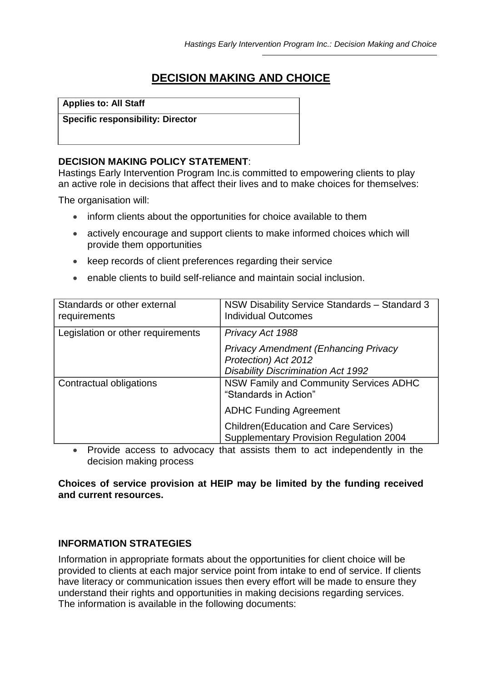# **DECISION MAKING AND CHOICE**

**Applies to: All Staff**

**Specific responsibility: Director**

#### **DECISION MAKING POLICY STATEMENT**:

Hastings Early Intervention Program Inc.is committed to empowering clients to play an active role in decisions that affect their lives and to make choices for themselves:

The organisation will:

- inform clients about the opportunities for choice available to them
- actively encourage and support clients to make informed choices which will provide them opportunities
- keep records of client preferences regarding their service
- enable clients to build self-reliance and maintain social inclusion.

| Standards or other external<br>requirements | NSW Disability Service Standards - Standard 3<br><b>Individual Outcomes</b>                                                                       |
|---------------------------------------------|---------------------------------------------------------------------------------------------------------------------------------------------------|
| Legislation or other requirements           | Privacy Act 1988<br><b>Privacy Amendment (Enhancing Privacy</b><br>Protection) Act 2012<br><b>Disability Discrimination Act 1992</b>              |
| Contractual obligations                     | NSW Family and Community Services ADHC<br>"Standards in Action"<br><b>ADHC Funding Agreement</b><br><b>Children</b> (Education and Care Services) |
|                                             | <b>Supplementary Provision Regulation 2004</b>                                                                                                    |

• Provide access to advocacy that assists them to act independently in the decision making process

**Choices of service provision at HEIP may be limited by the funding received and current resources.**

#### **INFORMATION STRATEGIES**

Information in appropriate formats about the opportunities for client choice will be provided to clients at each major service point from intake to end of service. If clients have literacy or communication issues then every effort will be made to ensure they understand their rights and opportunities in making decisions regarding services. The information is available in the following documents: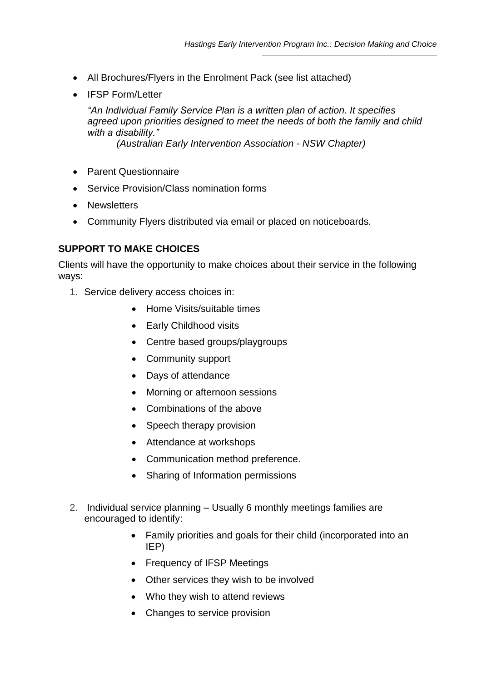- All Brochures/Flyers in the Enrolment Pack (see list attached)
- IFSP Form/Letter

*"An Individual Family Service Plan is a written plan of action. It specifies agreed upon priorities designed to meet the needs of both the family and child with a disability."*

*(Australian Early Intervention Association - NSW Chapter)*

- Parent Questionnaire
- Service Provision/Class nomination forms
- Newsletters
- Community Flyers distributed via email or placed on noticeboards.

### **SUPPORT TO MAKE CHOICES**

Clients will have the opportunity to make choices about their service in the following ways:

- 1. Service delivery access choices in:
	- Home Visits/suitable times
	- Early Childhood visits
	- Centre based groups/playgroups
	- Community support
	- Days of attendance
	- Morning or afternoon sessions
	- Combinations of the above
	- Speech therapy provision
	- Attendance at workshops
	- Communication method preference.
	- Sharing of Information permissions
- 2. Individual service planning Usually 6 monthly meetings families are encouraged to identify:
	- Family priorities and goals for their child (incorporated into an IEP)
	- Frequency of IFSP Meetings
	- Other services they wish to be involved
	- Who they wish to attend reviews
	- Changes to service provision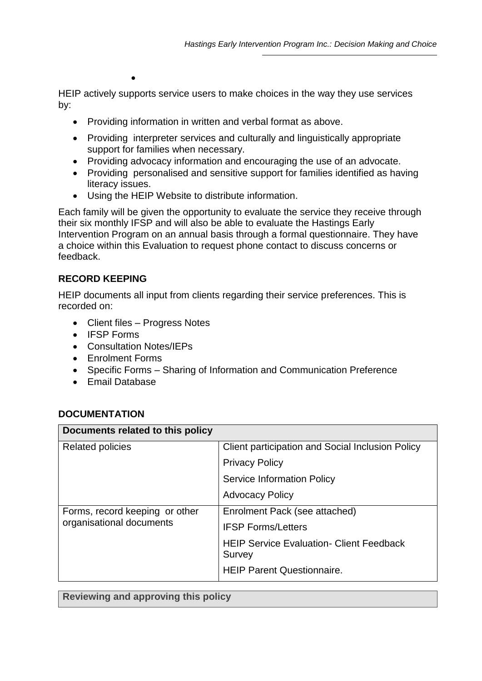HEIP actively supports service users to make choices in the way they use services by:

- Providing information in written and verbal format as above.
- Providing interpreter services and culturally and linguistically appropriate support for families when necessary.
- Providing advocacy information and encouraging the use of an advocate.
- Providing personalised and sensitive support for families identified as having literacy issues.
- Using the HEIP Website to distribute information.

Each family will be given the opportunity to evaluate the service they receive through their six monthly IFSP and will also be able to evaluate the Hastings Early Intervention Program on an annual basis through a formal questionnaire. They have a choice within this Evaluation to request phone contact to discuss concerns or feedback.

# **RECORD KEEPING**

HEIP documents all input from clients regarding their service preferences. This is recorded on:

- Client files Progress Notes
- IFSP Forms
- Consultation Notes/IEPs

 $\bullet$ 

- Enrolment Forms
- Specific Forms Sharing of Information and Communication Preference
- **•** Email Database

## **DOCUMENTATION**

| Documents related to this policy                           |                                                           |  |
|------------------------------------------------------------|-----------------------------------------------------------|--|
| <b>Related policies</b>                                    | Client participation and Social Inclusion Policy          |  |
|                                                            | <b>Privacy Policy</b>                                     |  |
|                                                            | <b>Service Information Policy</b>                         |  |
|                                                            | <b>Advocacy Policy</b>                                    |  |
| Forms, record keeping or other<br>organisational documents | Enrolment Pack (see attached)                             |  |
|                                                            | <b>IFSP Forms/Letters</b>                                 |  |
|                                                            | <b>HEIP Service Evaluation- Client Feedback</b><br>Survey |  |
|                                                            | <b>HEIP Parent Questionnaire.</b>                         |  |

**Reviewing and approving this policy**